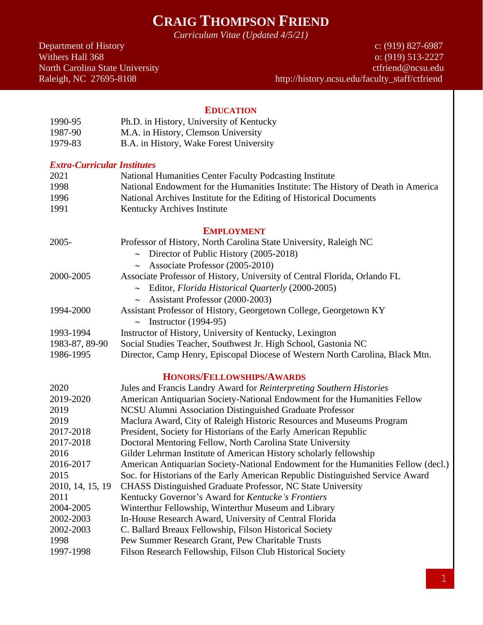# **CRAIG THOMPSON FRIEND**

*Curriculum Vitae (Updated 4/5/21)*

Department of History c: (919) 827-6987<br>Withers Hall 368 c: (919) 513-2227 o: (919) 513-2227 North Carolina State University **Carolina** State University ctfriend@ncsu.edu Raleigh, NC 27695-8108 http://history.ncsu.edu/faculty\_staff/ctfriend

#### **EDUCATION**

| 1990-95 | Ph.D. in History, University of Kentucky |
|---------|------------------------------------------|
| 1987-90 | M.A. in History, Clemson University      |
| 1979-83 | B.A. in History, Wake Forest University  |

#### *Extra-Curricular Institutes*

| 2021              | National Humanities Center Faculty Podcasting Institute                                                                                                                                                                                                                               |
|-------------------|---------------------------------------------------------------------------------------------------------------------------------------------------------------------------------------------------------------------------------------------------------------------------------------|
| 1998              | National Endowment for the Humanities Institute: The History of Death in America                                                                                                                                                                                                      |
| 1996              | National Archives Institute for the Editing of Historical Documents                                                                                                                                                                                                                   |
| 1991              | Kentucky Archives Institute                                                                                                                                                                                                                                                           |
| <b>EMPLOYMENT</b> |                                                                                                                                                                                                                                                                                       |
| 2005-             | Professor of History, North Carolina State University, Raleigh NC                                                                                                                                                                                                                     |
|                   | $\sim$ Director of Public History (2005-2018)                                                                                                                                                                                                                                         |
|                   | $\sim$ Associate Professor (2005-2010)                                                                                                                                                                                                                                                |
| 2000-2005         | Associate Professor of History, University of Central Florida, Orlando FL                                                                                                                                                                                                             |
|                   | Editor, Florida Historical Quarterly (2000-2005)<br>$\sim$                                                                                                                                                                                                                            |
|                   | Assistant Professor (2000-2003)<br>$\sim$                                                                                                                                                                                                                                             |
| 1994-2000         | Assistant Professor of History, Georgetown College, Georgetown KY                                                                                                                                                                                                                     |
|                   | $\sim$ Instructor (1994-95)                                                                                                                                                                                                                                                           |
| 1993-1994         | Instructor of History, University of Kentucky, Lexington                                                                                                                                                                                                                              |
| 1983-87, 89-90    | Social Studies Teacher, Southwest Jr. High School, Gastonia NC                                                                                                                                                                                                                        |
| 1986-1995         | Director, Camp Henry, Episcopal Diocese of Western North Carolina, Black Mtn.                                                                                                                                                                                                         |
|                   | <b>HONORS/FELLOWSHIPS/AWARDS</b>                                                                                                                                                                                                                                                      |
| 2020              | Jules and Francis Landry Award for Reinterpreting Southern Histories                                                                                                                                                                                                                  |
| 2019-2020         | American Antiquarian Society-National Endowment for the Humanities Fellow                                                                                                                                                                                                             |
| 2019              | NCSU Alumni Association Distinguished Graduate Professor                                                                                                                                                                                                                              |
| 2019              | Maclura Award, City of Raleigh Historic Resources and Museums Program                                                                                                                                                                                                                 |
| 0.17.010          | $\mathbf{D}_{\text{max}}$ , $\mathbf{A}_{\text{max}}$ , $\mathbf{C}_{\text{max}}$ , $\mathbf{C}_{\text{max}}$ , $\mathbf{H}_{\text{max}}$ , $\mathbf{A}_{\text{max}}$ , $\mathbf{D}_{\text{max}}$ , $\mathbf{D}_{\text{max}}$ , $\mathbf{D}_{\text{max}}$ , $\mathbf{L}_{\text{max}}$ |

2017-2018 President, Society for Historians of the Early American Republic

| 2017-2018        | President, Society for Historians of the Early American Republic                  |
|------------------|-----------------------------------------------------------------------------------|
| 2017-2018        | Doctoral Mentoring Fellow, North Carolina State University                        |
| 2016             | Gilder Lehrman Institute of American History scholarly fellowship                 |
| 2016-2017        | American Antiquarian Society-National Endowment for the Humanities Fellow (decl.) |
| 2015             | Soc. for Historians of the Early American Republic Distinguished Service Award    |
| 2010, 14, 15, 19 | <b>CHASS</b> Distinguished Graduate Professor, NC State University                |
| 2011             | Kentucky Governor's Award for Kentucke's Frontiers                                |
| 2004-2005        | Winterthur Fellowship, Winterthur Museum and Library                              |
| 2002-2003        | In-House Research Award, University of Central Florida                            |

- 2002-2003 C. Ballard Breaux Fellowship, Filson Historical Society
- 1998 Pew Summer Research Grant, Pew Charitable Trusts
- 1997-1998 Filson Research Fellowship, Filson Club Historical Society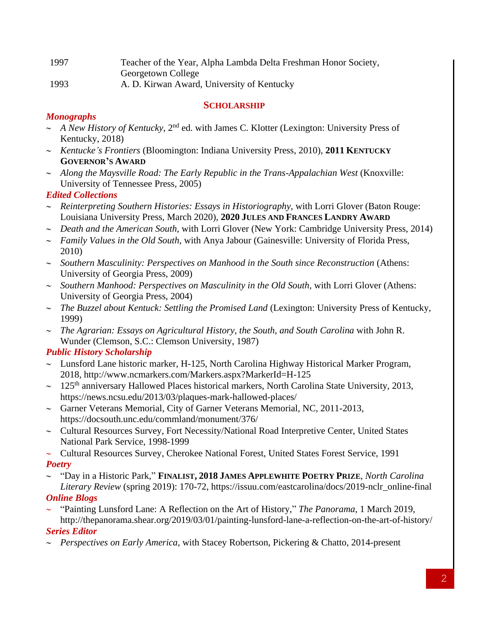| 1997 | Teacher of the Year, Alpha Lambda Delta Freshman Honor Society, |
|------|-----------------------------------------------------------------|
|      | Georgetown College                                              |
| 1993 | A. D. Kirwan Award, University of Kentucky                      |

#### **SCHOLARSHIP**

# *Monographs*

- $\sim$  *A New History of Kentucky*, 2<sup>nd</sup> ed. with James C. Klotter (Lexington: University Press of Kentucky, 2018)
- *Kentucke's Frontiers* (Bloomington: Indiana University Press, 2010), **2011 KENTUCKY GOVERNOR'S AWARD**
- *Along the Maysville Road: The Early Republic in the Trans-Appalachian West* (Knoxville: University of Tennessee Press, 2005)

## *Edited Collections*

- *Reinterpreting Southern Histories: Essays in Historiography,* with Lorri Glover (Baton Rouge: Louisiana University Press, March 2020), **2020 JULES AND FRANCES LANDRY AWARD**
- *Death and the American South,* with Lorri Glover (New York: Cambridge University Press, 2014)
- *Family Values in the Old South,* with Anya Jabour (Gainesville: University of Florida Press, 2010)
- *Southern Masculinity: Perspectives on Manhood in the South since Reconstruction* (Athens: University of Georgia Press, 2009)
- *Southern Manhood: Perspectives on Masculinity in the Old South,* with Lorri Glover (Athens: University of Georgia Press, 2004)
- *The Buzzel about Kentuck: Settling the Promised Land* (Lexington: University Press of Kentucky, 1999)
- *The Agrarian: Essays on Agricultural History, the South, and South Carolina* with John R. Wunder (Clemson, S.C.: Clemson University, 1987)

# *Public History Scholarship*

- $\sim$  Lunsford Lane historic marker, H-125, North Carolina Highway Historical Marker Program, 2018, http://www.ncmarkers.com/Markers.aspx?MarkerId=H-125
- $\sim$  125<sup>th</sup> anniversary Hallowed Places historical markers, North Carolina State University, 2013, https://news.ncsu.edu/2013/03/plaques-mark-hallowed-places/
- $\sim$  Garner Veterans Memorial, City of Garner Veterans Memorial, NC, 2011-2013, https://docsouth.unc.edu/commland/monument/376/
- $\sim$  Cultural Resources Survey, Fort Necessity/National Road Interpretive Center, United States National Park Service, 1998-1999
- $\sim$  Cultural Resources Survey, Cherokee National Forest, United States Forest Service, 1991 *Poetry*
- "Day in a Historic Park," **FINALIST, 2018 JAMES APPLEWHITE POETRY PRIZE**, *North Carolina Literary Review* (spring 2019): 170-72, https://issuu.com/eastcarolina/docs/2019-nclr\_online-final *Online Blogs*
- "Painting Lunsford Lane: A Reflection on the Art of History," *The Panorama*, 1 March 2019, http://thepanorama.shear.org/2019/03/01/painting-lunsford-lane-a-reflection-on-the-art-of-history/ *Series Editor*
- *Perspectives on Early America,* with Stacey Robertson, Pickering & Chatto, 2014-present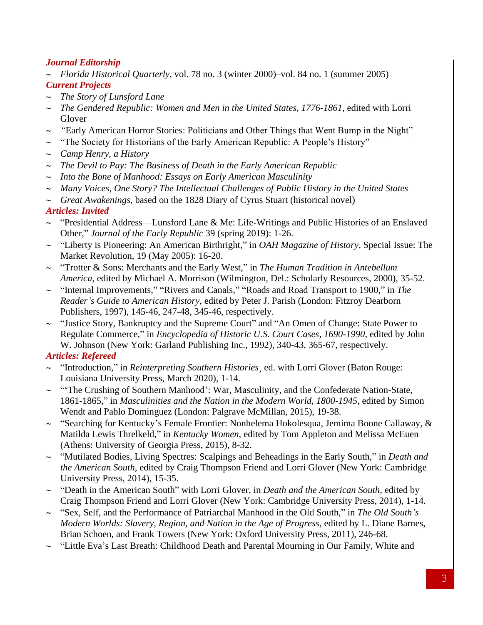#### *Journal Editorship*

- *Florida Historical Quarterly*, vol. 78 no. 3 (winter 2000)–vol. 84 no. 1 (summer 2005) *Current Projects*
- *The Story of Lunsford Lane*
- *The Gendered Republic: Women and Men in the United States, 1776-1861*, edited with Lorri Glover
- *"*Early American Horror Stories: Politicians and Other Things that Went Bump in the Night"
- $\sim$  "The Society for Historians of the Early American Republic: A People's History"
- *Camp Henry, a History*
- *The Devil to Pay: The Business of Death in the Early American Republic*
- *Into the Bone of Manhood: Essays on Early American Masculinity*
- *Many Voices, One Story? The Intellectual Challenges of Public History in the United States*
- *Great Awakenings*, based on the 1828 Diary of Cyrus Stuart (historical novel)

## *Articles: Invited*

- $\sim$  "Presidential Address—Lunsford Lane & Me: Life-Writings and Public Histories of an Enslaved Other," *Journal of the Early Republic* 39 (spring 2019): 1-26.
- "Liberty is Pioneering: An American Birthright," in *OAH Magazine of History*, Special Issue: The Market Revolution, 19 (May 2005): 16-20.
- "Trotter & Sons: Merchants and the Early West," in *The Human Tradition in Antebellum America*, edited by Michael A. Morrison (Wilmington, Del.: Scholarly Resources, 2000), 35-52.
- "Internal Improvements," "Rivers and Canals," "Roads and Road Transport to 1900," in *The Reader's Guide to American History*, edited by Peter J. Parish (London: Fitzroy Dearborn Publishers, 1997), 145-46, 247-48, 345-46, respectively.
- $\sim$  "Justice Story, Bankruptcy and the Supreme Court" and "An Omen of Change: State Power to Regulate Commerce," in *Encyclopedia of Historic U.S. Court Cases, 1690-1990*, edited by John W. Johnson (New York: Garland Publishing Inc., 1992), 340-43, 365-67, respectively.

## *Articles: Refereed*

- "Introduction," in *Reinterpreting Southern Histories¸* ed. with Lorri Glover (Baton Rouge: Louisiana University Press, March 2020), 1-14.
- $\sim$  "The Crushing of Southern Manhood': War, Masculinity, and the Confederate Nation-State, 1861-1865," in *Masculinities and the Nation in the Modern World, 1800-1945*, edited by Simon Wendt and Pablo Dominguez (London: Palgrave McMillan, 2015), 19-38.
- $\sim$  "Searching for Kentucky's Female Frontier: Nonhelema Hokolesqua, Jemima Boone Callaway, & Matilda Lewis Threlkeld," in *Kentucky Women*, edited by Tom Appleton and Melissa McEuen (Athens: University of Georgia Press, 2015), 8-32.
- "Mutilated Bodies, Living Spectres: Scalpings and Beheadings in the Early South," in *Death and the American South*, edited by Craig Thompson Friend and Lorri Glover (New York: Cambridge University Press, 2014), 15-35.
- "Death in the American South" with Lorri Glover, in *Death and the American South*, edited by Craig Thompson Friend and Lorri Glover (New York: Cambridge University Press, 2014), 1-14.
- "Sex, Self, and the Performance of Patriarchal Manhood in the Old South," in *The Old South's Modern Worlds: Slavery, Region, and Nation in the Age of Progress*, edited by L. Diane Barnes, Brian Schoen, and Frank Towers (New York: Oxford University Press, 2011), 246-68.
- $\sim$  "Little Eva's Last Breath: Childhood Death and Parental Mourning in Our Family, White and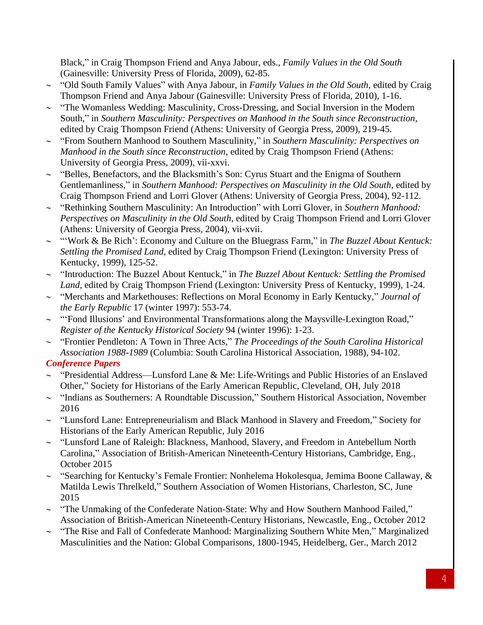Black," in Craig Thompson Friend and Anya Jabour, eds., *Family Values in the Old South*  (Gainesville: University Press of Florida, 2009), 62-85.

- "Old South Family Values" with Anya Jabour, in *Family Values in the Old South*, edited by Craig Thompson Friend and Anya Jabour (Gainesville: University Press of Florida, 2010), 1-16.
- $\sim$  "The Womanless Wedding: Masculinity, Cross-Dressing, and Social Inversion in the Modern South," in *Southern Masculinity: Perspectives on Manhood in the South since Reconstruction*, edited by Craig Thompson Friend (Athens: University of Georgia Press, 2009), 219-45.
- "From Southern Manhood to Southern Masculinity," in *Southern Masculinity: Perspectives on Manhood in the South since Reconstruction*, edited by Craig Thompson Friend (Athens: University of Georgia Press, 2009), vii-xxvi.
- $\sim$  "Belles, Benefactors, and the Blacksmith's Son: Cyrus Stuart and the Enigma of Southern Gentlemanliness," in *Southern Manhood: Perspectives on Masculinity in the Old South*, edited by Craig Thompson Friend and Lorri Glover (Athens: University of Georgia Press, 2004), 92-112.
- "Rethinking Southern Masculinity: An Introduction" with Lorri Glover, in *Southern Manhood: Perspectives on Masculinity in the Old South*, edited by Craig Thompson Friend and Lorri Glover (Athens: University of Georgia Press, 2004), vii-xvii.
- "'Work & Be Rich': Economy and Culture on the Bluegrass Farm," in *The Buzzel About Kentuck: Settling the Promised Land*, edited by Craig Thompson Friend (Lexington: University Press of Kentucky, 1999), 125-52.
- "Introduction: The Buzzel About Kentuck," in *The Buzzel About Kentuck: Settling the Promised Land*, edited by Craig Thompson Friend (Lexington: University Press of Kentucky, 1999), 1-24.
- "Merchants and Markethouses: Reflections on Moral Economy in Early Kentucky," *Journal of the Early Republic* 17 (winter 1997): 553-74.
- ~ "'Fond Illusions' and Environmental Transformations along the Maysville-Lexington Road," *Register of the Kentucky Historical Society* 94 (winter 1996): 1-23.
- "Frontier Pendleton: A Town in Three Acts," *The Proceedings of the South Carolina Historical Association 1988-1989* (Columbia: South Carolina Historical Association, 1988), 94-102.

## *Conference Papers*

- $\sim$  "Presidential Address—Lunsford Lane & Me: Life-Writings and Public Histories of an Enslaved Other," Society for Historians of the Early American Republic, Cleveland, OH, July 2018
- $\sim$  "Indians as Southerners: A Roundtable Discussion," Southern Historical Association, November 2016
- $\sim$  "Lunsford Lane: Entrepreneurialism and Black Manhood in Slavery and Freedom," Society for Historians of the Early American Republic, July 2016
- ~ "Lunsford Lane of Raleigh: Blackness, Manhood, Slavery, and Freedom in Antebellum North Carolina," Association of British-American Nineteenth-Century Historians, Cambridge, Eng., October 2015
- $\sim$  "Searching for Kentucky's Female Frontier: Nonhelema Hokolesqua, Jemima Boone Callaway, & Matilda Lewis Threlkeld," Southern Association of Women Historians, Charleston, SC, June 2015
- $\sim$  "The Unmaking of the Confederate Nation-State: Why and How Southern Manhood Failed," Association of British-American Nineteenth-Century Historians, Newcastle, Eng., October 2012
- $\sim$  "The Rise and Fall of Confederate Manhood: Marginalizing Southern White Men," Marginalized Masculinities and the Nation: Global Comparisons, 1800-1945, Heidelberg, Ger., March 2012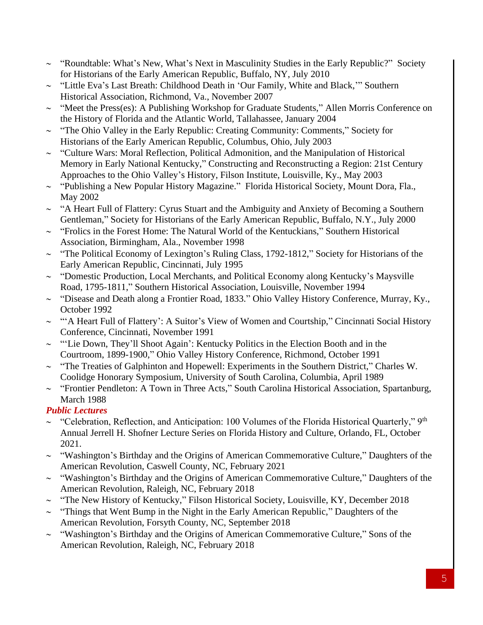- $\sim$  "Roundtable: What's New, What's Next in Masculinity Studies in the Early Republic?" Society for Historians of the Early American Republic, Buffalo, NY, July 2010
- $\sim$  "Little Eva's Last Breath: Childhood Death in 'Our Family, White and Black," Southern Historical Association, Richmond, Va., November 2007
- $\sim$  "Meet the Press(es): A Publishing Workshop for Graduate Students," Allen Morris Conference on the History of Florida and the Atlantic World, Tallahassee, January 2004
- $\sim$  "The Ohio Valley in the Early Republic: Creating Community: Comments," Society for Historians of the Early American Republic, Columbus, Ohio, July 2003
- $\sim$  "Culture Wars: Moral Reflection, Political Admonition, and the Manipulation of Historical Memory in Early National Kentucky," Constructing and Reconstructing a Region: 21st Century Approaches to the Ohio Valley's History, Filson Institute, Louisville, Ky., May 2003
- $\sim$  "Publishing a New Popular History Magazine." Florida Historical Society, Mount Dora, Fla., May 2002
- $\sim$  "A Heart Full of Flattery: Cyrus Stuart and the Ambiguity and Anxiety of Becoming a Southern Gentleman," Society for Historians of the Early American Republic, Buffalo, N.Y., July 2000
- $\sim$  "Frolics in the Forest Home: The Natural World of the Kentuckians," Southern Historical Association, Birmingham, Ala., November 1998
- $\sim$  "The Political Economy of Lexington's Ruling Class, 1792-1812," Society for Historians of the Early American Republic, Cincinnati, July 1995
- $\sim$  "Domestic Production, Local Merchants, and Political Economy along Kentucky's Maysville Road, 1795-1811," Southern Historical Association, Louisville, November 1994
- ~ "Disease and Death along a Frontier Road, 1833." Ohio Valley History Conference, Murray, Ky., October 1992
- ~ "A Heart Full of Flattery': A Suitor's View of Women and Courtship," Cincinnati Social History Conference, Cincinnati, November 1991
- $\sim$  "'Lie Down, They'll Shoot Again': Kentucky Politics in the Election Booth and in the Courtroom, 1899-1900," Ohio Valley History Conference, Richmond, October 1991
- $\sim$  "The Treaties of Galphinton and Hopewell: Experiments in the Southern District," Charles W. Coolidge Honorary Symposium, University of South Carolina, Columbia, April 1989
- $\sim$  "Frontier Pendleton: A Town in Three Acts," South Carolina Historical Association, Spartanburg, March 1988

# *Public Lectures*

- $\sim$  "Celebration, Reflection, and Anticipation: 100 Volumes of the Florida Historical Quarterly," 9<sup>th</sup> Annual Jerrell H. Shofner Lecture Series on Florida History and Culture, Orlando, FL, October 2021.
- $\sim$  "Washington's Birthday and the Origins of American Commemorative Culture," Daughters of the American Revolution, Caswell County, NC, February 2021
- $\sim$  "Washington's Birthday and the Origins of American Commemorative Culture," Daughters of the American Revolution, Raleigh, NC, February 2018
- $\sim$  "The New History of Kentucky," Filson Historical Society, Louisville, KY, December 2018
- $\sim$  "Things that Went Bump in the Night in the Early American Republic," Daughters of the American Revolution, Forsyth County, NC, September 2018
- $\sim$  "Washington's Birthday and the Origins of American Commemorative Culture," Sons of the American Revolution, Raleigh, NC, February 2018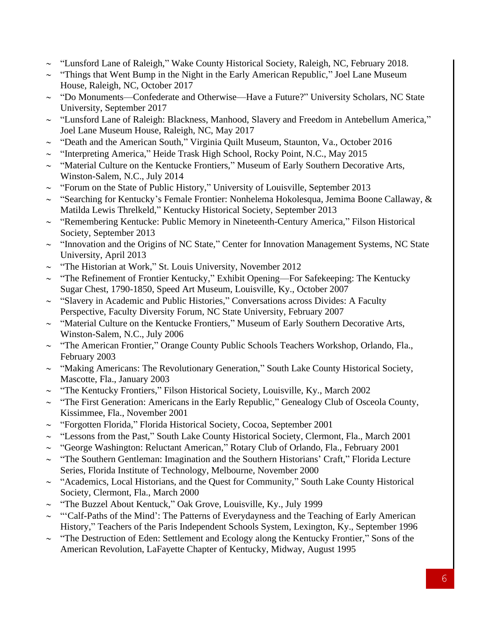- ~ "Lunsford Lane of Raleigh," Wake County Historical Society, Raleigh, NC, February 2018.
- $\sim$  "Things that Went Bump in the Night in the Early American Republic," Joel Lane Museum House, Raleigh, NC, October 2017
- ~ "Do Monuments—Confederate and Otherwise—Have a Future?" University Scholars, NC State University, September 2017
- ~ "Lunsford Lane of Raleigh: Blackness, Manhood, Slavery and Freedom in Antebellum America," Joel Lane Museum House, Raleigh, NC, May 2017
- $\sim$  "Death and the American South," Virginia Quilt Museum, Staunton, Va., October 2016
- $\sim$  "Interpreting America," Heide Trask High School, Rocky Point, N.C., May 2015
- $\sim$  "Material Culture on the Kentucke Frontiers," Museum of Early Southern Decorative Arts, Winston-Salem, N.C., July 2014
- $\sim$  "Forum on the State of Public History," University of Louisville, September 2013
- $\sim$  "Searching for Kentucky's Female Frontier: Nonhelema Hokolesqua, Jemima Boone Callaway, & Matilda Lewis Threlkeld," Kentucky Historical Society, September 2013
- $\sim$  "Remembering Kentucke: Public Memory in Nineteenth-Century America," Filson Historical Society, September 2013
- $\sim$  "Innovation and the Origins of NC State," Center for Innovation Management Systems, NC State University, April 2013
- $\sim$  "The Historian at Work," St. Louis University, November 2012
- $\sim$  "The Refinement of Frontier Kentucky," Exhibit Opening—For Safekeeping: The Kentucky Sugar Chest, 1790-1850, Speed Art Museum, Louisville, Ky., October 2007
- $\sim$  "Slavery in Academic and Public Histories," Conversations across Divides: A Faculty Perspective, Faculty Diversity Forum, NC State University, February 2007
- $\sim$  "Material Culture on the Kentucke Frontiers," Museum of Early Southern Decorative Arts, Winston-Salem, N.C., July 2006
- $\sim$  "The American Frontier," Orange County Public Schools Teachers Workshop, Orlando, Fla., February 2003
- $\sim$  "Making Americans: The Revolutionary Generation," South Lake County Historical Society, Mascotte, Fla., January 2003
- $\sim$  "The Kentucky Frontiers," Filson Historical Society, Louisville, Ky., March 2002
- $\sim$  "The First Generation: Americans in the Early Republic," Genealogy Club of Osceola County, Kissimmee, Fla., November 2001
- ~ "Forgotten Florida," Florida Historical Society, Cocoa, September 2001
- ~ "Lessons from the Past," South Lake County Historical Society, Clermont, Fla., March 2001
- ~ "George Washington: Reluctant American," Rotary Club of Orlando, Fla., February 2001
- $\sim$  "The Southern Gentleman: Imagination and the Southern Historians' Craft," Florida Lecture Series, Florida Institute of Technology, Melbourne, November 2000
- $\sim$  "Academics, Local Historians, and the Quest for Community," South Lake County Historical Society, Clermont, Fla., March 2000
- $\sim$  "The Buzzel About Kentuck," Oak Grove, Louisville, Ky., July 1999
- $\sim$  "Calf-Paths of the Mind': The Patterns of Everydayness and the Teaching of Early American History," Teachers of the Paris Independent Schools System, Lexington, Ky., September 1996
- $\sim$  "The Destruction of Eden: Settlement and Ecology along the Kentucky Frontier," Sons of the American Revolution, LaFayette Chapter of Kentucky, Midway, August 1995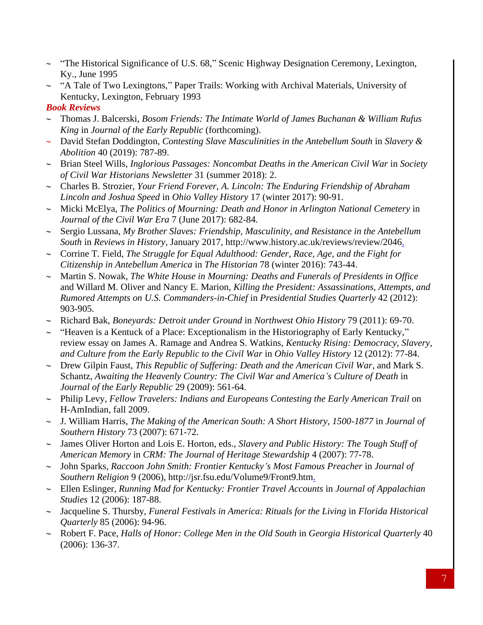- $\sim$  "The Historical Significance of U.S. 68," Scenic Highway Designation Ceremony, Lexington, Ky., June 1995
- $\sim$  "A Tale of Two Lexingtons," Paper Trails: Working with Archival Materials, University of Kentucky, Lexington, February 1993

#### *Book Reviews*

- Thomas J. Balcerski, *Bosom Friends: The Intimate World of James Buchanan & William Rufus King* in *Journal of the Early Republic* (forthcoming).
- David Stefan Doddington, *Contesting Slave Masculinities in the Antebellum South* in *Slavery & Abolition* 40 (2019): 787-89.
- Brian Steel Wills, *Inglorious Passages: Noncombat Deaths in the American Civil War* in *Society of Civil War Historians Newsletter* 31 (summer 2018): 2.
- Charles B. Strozier, *Your Friend Forever, A. Lincoln: The Enduring Friendship of Abraham Lincoln and Joshua Speed* in *Ohio Valley History* 17 (winter 2017): 90-91.
- Micki McElya, *The Politics of Mourning: Death and Honor in Arlington National Cemetery* in *Journal of the Civil War Era* 7 (June 2017): 682-84.
- Sergio Lussana, *My Brother Slaves: Friendship, Masculinity, and Resistance in the Antebellum South* in *Reviews in History,* January 2017, http://www.history.ac.uk/reviews/review/2046.
- Corrine T. Field, *The Struggle for Equal Adulthood: Gender, Race, Age, and the Fight for Citizenship in Antebellum America* in *The Historian* 78 (winter 2016): 743-44.
- Martin S. Nowak, *The White House in Mourning: Deaths and Funerals of Presidents in Office*  and Willard M. Oliver and Nancy E. Marion, *Killing the President: Assassinations, Attempts, and Rumored Attempts on U.S. Commanders-in-Chief* in *Presidential Studies Quarterly* 42 (2012): 903-905.
- Richard Bak, *Boneyards: Detroit under Ground* in *Northwest Ohio History* 79 (2011): 69-70.
- $\sim$  "Heaven is a Kentuck of a Place: Exceptionalism in the Historiography of Early Kentucky," review essay on James A. Ramage and Andrea S. Watkins, *Kentucky Rising: Democracy, Slavery, and Culture from the Early Republic to the Civil War* in *Ohio Valley History* 12 (2012): 77-84.
- Drew Gilpin Faust, *This Republic of Suffering: Death and the American Civil War*, and Mark S. Schantz, *Awaiting the Heavenly Country: The Civil War and America's Culture of Death* in *Journal of the Early Republic* 29 (2009): 561-64.
- Philip Levy, *Fellow Travelers: Indians and Europeans Contesting the Early American Trail* on H-AmIndian, fall 2009.
- J. William Harris, *The Making of the American South: A Short History, 1500-1877* in *Journal of Southern History* 73 (2007): 671-72.
- James Oliver Horton and Lois E. Horton, eds., *Slavery and Public History: The Tough Stuff of American Memory* in *CRM: The Journal of Heritage Stewardship* 4 (2007): 77-78.
- John Sparks, *Raccoon John Smith: Frontier Kentucky's Most Famous Preacher* in *Journal of Southern Religion* 9 (2006), http://jsr.fsu.edu/Volume9/Front9.htm.
- Ellen Eslinger, *Running Mad for Kentucky: Frontier Travel Accounts* in *Journal of Appalachian Studies* 12 (2006): 187-88.
- Jacqueline S. Thursby, *Funeral Festivals in America: Rituals for the Living* in *Florida Historical Quarterly* 85 (2006): 94-96.
- Robert F. Pace, *Halls of Honor: College Men in the Old South* in *Georgia Historical Quarterly* 40 (2006): 136-37.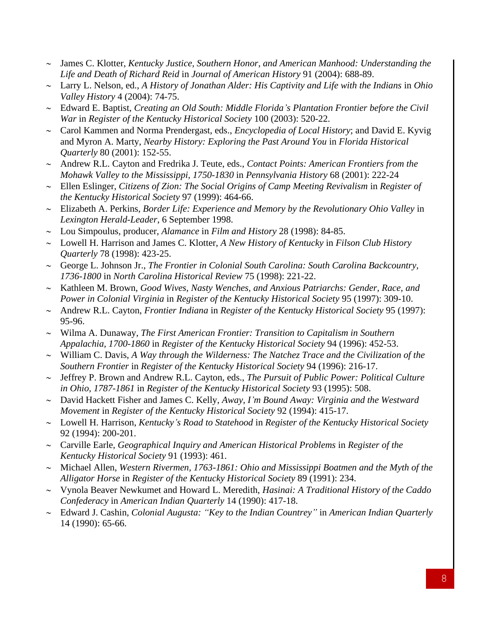- James C. Klotter, *Kentucky Justice, Southern Honor, and American Manhood: Understanding the Life and Death of Richard Reid* in *Journal of American History* 91 (2004): 688-89.
- Larry L. Nelson, ed., *A History of Jonathan Alder: His Captivity and Life with the Indians* in *Ohio Valley History* 4 (2004): 74-75.
- Edward E. Baptist, *Creating an Old South: Middle Florida's Plantation Frontier before the Civil War* in *Register of the Kentucky Historical Society* 100 (2003): 520-22.
- Carol Kammen and Norma Prendergast, eds., *Encyclopedia of Local History*; and David E. Kyvig and Myron A. Marty, *Nearby History: Exploring the Past Around You* in *Florida Historical Quarterly* 80 (2001): 152-55.
- Andrew R.L. Cayton and Fredrika J. Teute, eds., *Contact Points: American Frontiers from the Mohawk Valley to the Mississippi, 1750-1830* in *Pennsylvania History* 68 (2001): 222-24
- Ellen Eslinger, *Citizens of Zion: The Social Origins of Camp Meeting Revivalism* in *Register of the Kentucky Historical Society* 97 (1999): 464-66.
- Elizabeth A. Perkins, *Border Life: Experience and Memory by the Revolutionary Ohio Valley* in *Lexington Herald-Leader*, 6 September 1998.
- Lou Simpoulus, producer, *Alamance* in *Film and History* 28 (1998): 84-85.
- Lowell H. Harrison and James C. Klotter, *A New History of Kentucky* in *Filson Club History Quarterly* 78 (1998): 423-25.
- George L. Johnson Jr., *The Frontier in Colonial South Carolina: South Carolina Backcountry, 1736-1800* in *North Carolina Historical Review* 75 (1998): 221-22.
- Kathleen M. Brown, *Good Wives, Nasty Wenches, and Anxious Patriarchs: Gender, Race, and Power in Colonial Virginia* in *Register of the Kentucky Historical Society* 95 (1997): 309-10.
- Andrew R.L. Cayton, *Frontier Indiana* in *Register of the Kentucky Historical Society* 95 (1997): 95-96.
- Wilma A. Dunaway, *The First American Frontier: Transition to Capitalism in Southern Appalachia, 1700-1860* in *Register of the Kentucky Historical Society* 94 (1996): 452-53.
- William C. Davis, *A Way through the Wilderness: The Natchez Trace and the Civilization of the Southern Frontier* in *Register of the Kentucky Historical Society* 94 (1996): 216-17.
- Jeffrey P. Brown and Andrew R.L. Cayton, eds., *The Pursuit of Public Power: Political Culture in Ohio, 1787-1861* in *Register of the Kentucky Historical Society* 93 (1995): 508.
- David Hackett Fisher and James C. Kelly, *Away, I'm Bound Away: Virginia and the Westward Movement* in *Register of the Kentucky Historical Society* 92 (1994): 415-17.
- Lowell H. Harrison, *Kentucky's Road to Statehood* in *Register of the Kentucky Historical Society* 92 (1994): 200-201.
- Carville Earle, *Geographical Inquiry and American Historical Problems* in *Register of the Kentucky Historical Society* 91 (1993): 461.
- Michael Allen, *Western Rivermen, 1763-1861: Ohio and Mississippi Boatmen and the Myth of the Alligator Horse* in *Register of the Kentucky Historical Society* 89 (1991): 234.
- Vynola Beaver Newkumet and Howard L. Meredith, *Hasinai: A Traditional History of the Caddo Confederacy* in *American Indian Quarterly* 14 (1990): 417-18.
- Edward J. Cashin, *Colonial Augusta: "Key to the Indian Countrey"* in *American Indian Quarterly* 14 (1990): 65-66.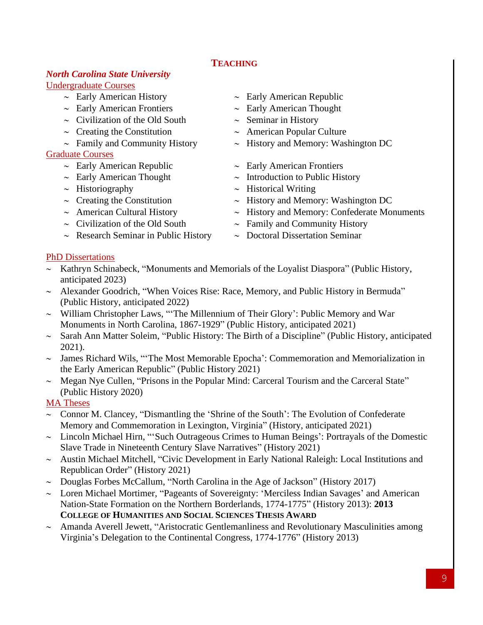## **TEACHING**

#### *North Carolina State University* Undergraduate Courses

- 
- 
- $\sim$  Civilization of the Old South  $\sim$  Seminar in History
- 
- 

#### Graduate Courses

- 
- 
- 
- 
- 
- 
- $\sim$  Research Seminar in Public History  $\sim$  Doctoral Dissertation Seminar

#### $\sim$  Early American History  $\sim$  Early American Republic

- $\sim$  Early American Frontiers  $\sim$  Early American Thought
	-
- $\sim$  Creating the Constitution  $\sim$  American Popular Culture
- $\sim$  Family and Community History  $\sim$  History and Memory: Washington DC
- $\sim$  Early American Republic  $\sim$  Early American Frontiers
- $\sim$  Early American Thought  $\sim$  Introduction to Public History
- $\sim$  Historiography  $\sim$  Historical Writing
- $\sim$  Creating the Constitution  $\sim$  History and Memory: Washington DC
- $\sim$  American Cultural History  $\sim$  History and Memory: Confederate Monuments
- $\sim$  Civilization of the Old South  $\sim$  Family and Community History
	-

#### PhD Dissertations

- $\sim$  Kathryn Schinabeck, "Monuments and Memorials of the Loyalist Diaspora" (Public History, anticipated 2023)
- $\sim$  Alexander Goodrich, "When Voices Rise: Race, Memory, and Public History in Bermuda" (Public History, anticipated 2022)
- $\sim$  William Christopher Laws, "The Millennium of Their Glory': Public Memory and War Monuments in North Carolina, 1867-1929" (Public History, anticipated 2021)
- $\sim$  Sarah Ann Matter Soleim, "Public History: The Birth of a Discipline" (Public History, anticipated 2021).
- $\sim$  James Richard Wils, "The Most Memorable Epocha': Commemoration and Memorialization in the Early American Republic" (Public History 2021)
- $\sim$  Megan Nye Cullen, "Prisons in the Popular Mind: Carceral Tourism and the Carceral State" (Public History 2020)

## MA Theses

- $\sim$  Connor M. Clancey, "Dismantling the 'Shrine of the South': The Evolution of Confederate Memory and Commemoration in Lexington, Virginia" (History, anticipated 2021)
- $\sim$  Lincoln Michael Hirn, "Such Outrageous Crimes to Human Beings': Portrayals of the Domestic Slave Trade in Nineteenth Century Slave Narratives" (History 2021)
- $\sim$  Austin Michael Mitchell, "Civic Development in Early National Raleigh: Local Institutions and Republican Order" (History 2021)
- $\sim$  Douglas Forbes McCallum, "North Carolina in the Age of Jackson" (History 2017)
- Loren Michael Mortimer, "Pageants of Sovereignty: 'Merciless Indian Savages' and American Nation-State Formation on the Northern Borderlands, 1774-1775" (History 2013): **2013 COLLEGE OF HUMANITIES AND SOCIAL SCIENCES THESIS AWARD**
- $\sim$  Amanda Averell Jewett, "Aristocratic Gentlemanliness and Revolutionary Masculinities among Virginia's Delegation to the Continental Congress, 1774-1776" (History 2013)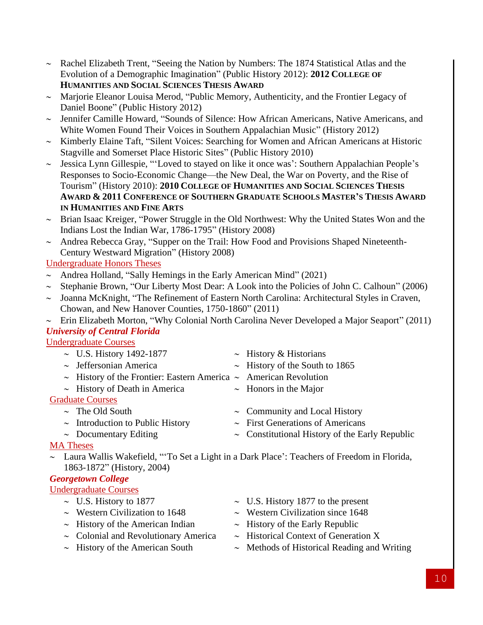- $\sim$  Rachel Elizabeth Trent, "Seeing the Nation by Numbers: The 1874 Statistical Atlas and the Evolution of a Demographic Imagination" (Public History 2012): **2012 COLLEGE OF HUMANITIES AND SOCIAL SCIENCES THESIS AWARD**
- $\sim$  Marjorie Eleanor Louisa Merod, "Public Memory, Authenticity, and the Frontier Legacy of Daniel Boone" (Public History 2012)
- Jennifer Camille Howard, "Sounds of Silence: How African Americans, Native Americans, and White Women Found Their Voices in Southern Appalachian Music" (History 2012)
- $\sim$  Kimberly Elaine Taft, "Silent Voices: Searching for Women and African Americans at Historic Stagville and Somerset Place Historic Sites" (Public History 2010)
- $\sim$  Jessica Lynn Gillespie, "'Loved to stayed on like it once was': Southern Appalachian People's Responses to Socio-Economic Change—the New Deal, the War on Poverty, and the Rise of Tourism" (History 2010): **2010 COLLEGE OF HUMANITIES AND SOCIAL SCIENCES THESIS AWARD & 2011 CONFERENCE OF SOUTHERN GRADUATE SCHOOLS MASTER'S THESIS AWARD IN HUMANITIES AND FINE ARTS**
- $\sim$  Brian Isaac Kreiger, "Power Struggle in the Old Northwest: Why the United States Won and the Indians Lost the Indian War, 1786-1795" (History 2008)
- $\sim$  Andrea Rebecca Gray, "Supper on the Trail: How Food and Provisions Shaped Nineteenth-Century Westward Migration" (History 2008)

#### Undergraduate Honors Theses

- $\sim$  Andrea Holland, "Sally Hemings in the Early American Mind" (2021)
- Stephanie Brown, "Our Liberty Most Dear: A Look into the Policies of John C. Calhoun" (2006)
- Joanna McKnight, "The Refinement of Eastern North Carolina: Architectural Styles in Craven, Chowan, and New Hanover Counties, 1750-1860" (2011)
- $\sim$  Erin Elizabeth Morton, "Why Colonial North Carolina Never Developed a Major Seaport" (2011) *University of Central Florida*

Undergraduate Courses

- $\sim$  U.S. History 1492-1877  $\sim$  History & Historians
- $\sim$  Jeffersonian America  $\sim$  History of the South to 1865
- $\sim$  History of the Frontier: Eastern America  $\sim$  American Revolution
- $\sim$  History of Death in America  $\sim$  Honors in the Major

## Graduate Courses

- 
- 
- 
- 
- 
- 
- $\sim$  The Old South  $\sim$  Community and Local History
- $\sim$  Introduction to Public History  $\sim$  First Generations of Americans
- -
- $\sim$  Documentary Editing  $\sim$  Constitutional History of the Early Republic

## MA Theses

 Laura Wallis Wakefield, "'To Set a Light in a Dark Place': Teachers of Freedom in Florida, 1863-1872" (History, 2004)

# *Georgetown College*

Undergraduate Courses

- 
- 
- $\sim$  History of the American Indian  $\sim$  History of the Early Republic
- $\sim$  Colonial and Revolutionary America  $\sim$  Historical Context of Generation X
- 
- $\sim$  U.S. History to 1877  $\sim$  U.S. History 1877 to the present
- $\sim$  Western Civilization to 1648  $\sim$  Western Civilization since 1648
	-
	-
- $\sim$  History of the American South  $\sim$  Methods of Historical Reading and Writing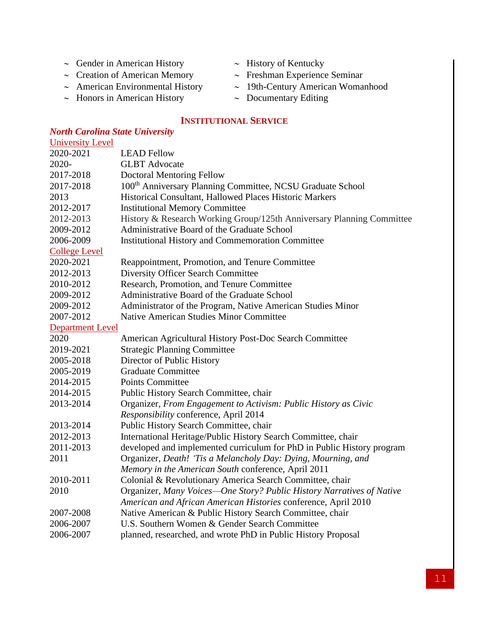- $\sim$  Gender in American History  $\sim$  History of Kentucky
- 
- 
- $\sim$  Honors in American History  $\sim$  Documentary Editing
- 
- $\sim$  Creation of American Memory  $\sim$  Freshman Experience Seminar
- $\sim$  American Environmental History  $\sim$  19th-Century American Womanhood
	-

#### **INSTITUTIONAL SERVICE**

#### *North Carolina State University* University Level 2020-2021 LEAD Fellow 2020- GLBT Advocate 2017-2018 Doctoral Mentoring Fellow 2017-2018 100<sup>th</sup> Anniversary Planning Committee, NCSU Graduate School 2013 Historical Consultant, Hallowed Places Historic Markers 2012-2017 Institutional Memory Committee 2012-2013 History & Research Working Group/125th Anniversary Planning Committee 2009-2012 Administrative Board of the Graduate School 2006-2009 Institutional History and Commemoration Committee College Level 2020-2021 Reappointment, Promotion, and Tenure Committee 2012-2013 Diversity Officer Search Committee 2010-2012 Research, Promotion, and Tenure Committee 2009-2012 Administrative Board of the Graduate School 2009-2012 Administrator of the Program, Native American Studies Minor 2007-2012 Native American Studies Minor Committee Department Level 2020 American Agricultural History Post-Doc Search Committee 2019-2021 Strategic Planning Committee 2005-2018 Director of Public History 2005-2019 Graduate Committee 2014-2015 Points Committee 2014-2015 Public History Search Committee, chair 2013-2014 Organizer, *From Engagement to Activism: Public History as Civic Responsibility* conference, April 2014 2013-2014 Public History Search Committee, chair 2012-2013 International Heritage/Public History Search Committee, chair 2011-2013 developed and implemented curriculum for PhD in Public History program 2011 Organizer, *Death! 'Tis a Melancholy Day: Dying, Mourning, and Memory in the American South* conference, April 2011 2010-2011 Colonial & Revolutionary America Search Committee, chair 2010 Organizer, *Many Voices—One Story? Public History Narratives of Native American and African American Histories* conference, April 2010 2007-2008 Native American & Public History Search Committee, chair 2006-2007 U.S. Southern Women & Gender Search Committee 2006-2007 planned, researched, and wrote PhD in Public History Proposal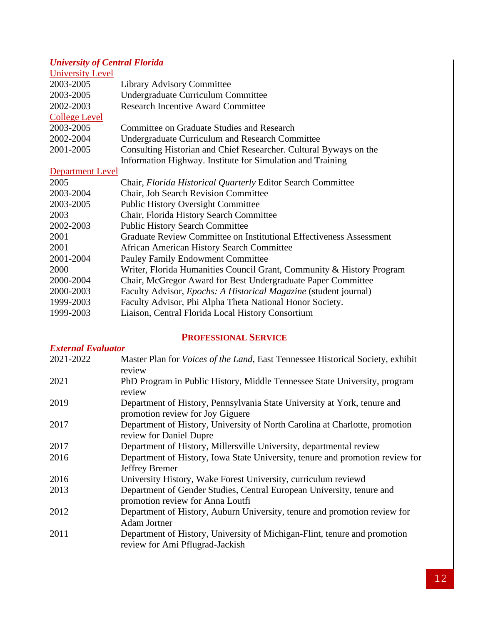# *University of Central Florida*

| <b>University Level</b> |                                                                         |
|-------------------------|-------------------------------------------------------------------------|
| 2003-2005               | <b>Library Advisory Committee</b>                                       |
| 2003-2005               | Undergraduate Curriculum Committee                                      |
| 2002-2003               | <b>Research Incentive Award Committee</b>                               |
| <b>College Level</b>    |                                                                         |
| 2003-2005               | Committee on Graduate Studies and Research                              |
| 2002-2004               | <b>Undergraduate Curriculum and Research Committee</b>                  |
| 2001-2005               | Consulting Historian and Chief Researcher. Cultural Byways on the       |
|                         | Information Highway. Institute for Simulation and Training              |
| <b>Department Level</b> |                                                                         |
| 2005                    | Chair, Florida Historical Quarterly Editor Search Committee             |
| 2003-2004               | <b>Chair, Job Search Revision Committee</b>                             |
| 2003-2005               | <b>Public History Oversight Committee</b>                               |
| 2003                    | Chair, Florida History Search Committee                                 |
| 2002-2003               | <b>Public History Search Committee</b>                                  |
| 2001                    | Graduate Review Committee on Institutional Effectiveness Assessment     |
| 2001                    | <b>African American History Search Committee</b>                        |
| 2001-2004               | <b>Pauley Family Endowment Committee</b>                                |
| 2000                    | Writer, Florida Humanities Council Grant, Community & History Program   |
| 2000-2004               | Chair, McGregor Award for Best Undergraduate Paper Committee            |
| 2000-2003               | Faculty Advisor, <i>Epochs: A Historical Magazine</i> (student journal) |
| 1999-2003               | Faculty Advisor, Phi Alpha Theta National Honor Society.                |
| 1999-2003               | Liaison, Central Florida Local History Consortium                       |

# **PROFESSIONAL SERVICE**

| <b>External Evaluator</b> |                                                                                                              |
|---------------------------|--------------------------------------------------------------------------------------------------------------|
| 2021-2022                 | Master Plan for <i>Voices of the Land</i> , East Tennessee Historical Society, exhibit                       |
|                           | review                                                                                                       |
| 2021                      | PhD Program in Public History, Middle Tennessee State University, program                                    |
|                           | review                                                                                                       |
| 2019                      | Department of History, Pennsylvania State University at York, tenure and<br>promotion review for Joy Giguere |
| 2017                      | Department of History, University of North Carolina at Charlotte, promotion                                  |
|                           | review for Daniel Dupre                                                                                      |
| 2017                      | Department of History, Millersville University, departmental review                                          |
| 2016                      | Department of History, Iowa State University, tenure and promotion review for                                |
|                           | Jeffrey Bremer                                                                                               |
| 2016                      | University History, Wake Forest University, curriculum reviewd                                               |
| 2013                      | Department of Gender Studies, Central European University, tenure and                                        |
|                           | promotion review for Anna Loutfi                                                                             |
| 2012                      | Department of History, Auburn University, tenure and promotion review for                                    |
|                           | <b>Adam Jortner</b>                                                                                          |
| 2011                      | Department of History, University of Michigan-Flint, tenure and promotion                                    |
|                           | review for Ami Pflugrad-Jackish                                                                              |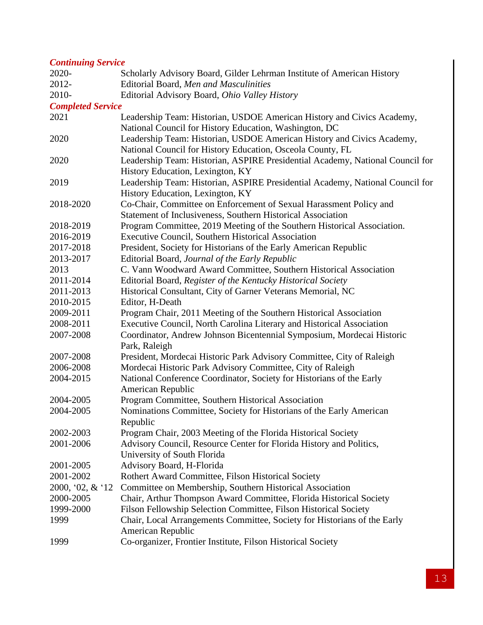## *Continuing Service*

| 2020-                    | Scholarly Advisory Board, Gilder Lehrman Institute of American History        |
|--------------------------|-------------------------------------------------------------------------------|
| 2012-                    | Editorial Board, Men and Masculinities                                        |
| 2010-                    | Editorial Advisory Board, Ohio Valley History                                 |
| <b>Completed Service</b> |                                                                               |
| 2021                     | Leadership Team: Historian, USDOE American History and Civics Academy,        |
|                          | National Council for History Education, Washington, DC                        |
| 2020                     | Leadership Team: Historian, USDOE American History and Civics Academy,        |
|                          | National Council for History Education, Osceola County, FL                    |
| 2020                     | Leadership Team: Historian, ASPIRE Presidential Academy, National Council for |
|                          | History Education, Lexington, KY                                              |
| 2019                     | Leadership Team: Historian, ASPIRE Presidential Academy, National Council for |
|                          | History Education, Lexington, KY                                              |
| 2018-2020                | Co-Chair, Committee on Enforcement of Sexual Harassment Policy and            |
|                          | Statement of Inclusiveness, Southern Historical Association                   |
| 2018-2019                | Program Committee, 2019 Meeting of the Southern Historical Association.       |
| 2016-2019                | <b>Executive Council, Southern Historical Association</b>                     |
| 2017-2018                | President, Society for Historians of the Early American Republic              |
| 2013-2017                | Editorial Board, Journal of the Early Republic                                |
| 2013                     | C. Vann Woodward Award Committee, Southern Historical Association             |
| 2011-2014                | Editorial Board, Register of the Kentucky Historical Society                  |
| 2011-2013                | Historical Consultant, City of Garner Veterans Memorial, NC                   |
| 2010-2015                | Editor, H-Death                                                               |
| 2009-2011                | Program Chair, 2011 Meeting of the Southern Historical Association            |
| 2008-2011                | Executive Council, North Carolina Literary and Historical Association         |
| 2007-2008                | Coordinator, Andrew Johnson Bicentennial Symposium, Mordecai Historic         |
|                          | Park, Raleigh                                                                 |
| 2007-2008                | President, Mordecai Historic Park Advisory Committee, City of Raleigh         |
| 2006-2008                | Mordecai Historic Park Advisory Committee, City of Raleigh                    |
| 2004-2015                | National Conference Coordinator, Society for Historians of the Early          |
|                          | American Republic                                                             |
| 2004-2005                | Program Committee, Southern Historical Association                            |
| 2004-2005                | Nominations Committee, Society for Historians of the Early American           |
|                          | Republic                                                                      |
| 2002-2003                | Program Chair, 2003 Meeting of the Florida Historical Society                 |
| 2001-2006                | Advisory Council, Resource Center for Florida History and Politics,           |
|                          | University of South Florida                                                   |
| 2001-2005                | Advisory Board, H-Florida                                                     |
| 2001-2002                | Rothert Award Committee, Filson Historical Society                            |
| 2000, '02, $&$ '12       | Committee on Membership, Southern Historical Association                      |
| 2000-2005                | Chair, Arthur Thompson Award Committee, Florida Historical Society            |
| 1999-2000                | Filson Fellowship Selection Committee, Filson Historical Society              |
| 1999                     | Chair, Local Arrangements Committee, Society for Historians of the Early      |
|                          | American Republic                                                             |
| 1999                     | Co-organizer, Frontier Institute, Filson Historical Society                   |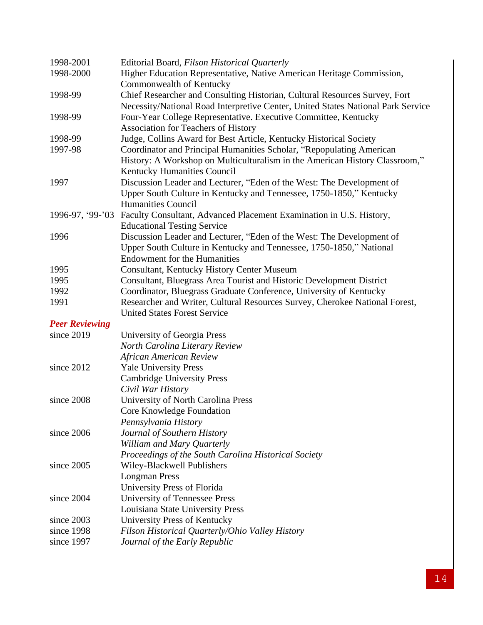| 1998-2001             | Editorial Board, Filson Historical Quarterly                                     |
|-----------------------|----------------------------------------------------------------------------------|
| 1998-2000             | Higher Education Representative, Native American Heritage Commission,            |
|                       | Commonwealth of Kentucky                                                         |
| 1998-99               | Chief Researcher and Consulting Historian, Cultural Resources Survey, Fort       |
|                       | Necessity/National Road Interpretive Center, United States National Park Service |
| 1998-99               | Four-Year College Representative. Executive Committee, Kentucky                  |
|                       | <b>Association for Teachers of History</b>                                       |
| 1998-99               | Judge, Collins Award for Best Article, Kentucky Historical Society               |
| 1997-98               | Coordinator and Principal Humanities Scholar, "Repopulating American             |
|                       | History: A Workshop on Multiculturalism in the American History Classroom,"      |
|                       | Kentucky Humanities Council                                                      |
| 1997                  | Discussion Leader and Lecturer, "Eden of the West: The Development of            |
|                       | Upper South Culture in Kentucky and Tennessee, 1750-1850," Kentucky              |
|                       | <b>Humanities Council</b>                                                        |
| 1996-97, '99-'03      | Faculty Consultant, Advanced Placement Examination in U.S. History,              |
|                       | <b>Educational Testing Service</b>                                               |
| 1996                  | Discussion Leader and Lecturer, "Eden of the West: The Development of            |
|                       | Upper South Culture in Kentucky and Tennessee, 1750-1850," National              |
|                       | <b>Endowment for the Humanities</b>                                              |
| 1995                  | <b>Consultant, Kentucky History Center Museum</b>                                |
| 1995                  | Consultant, Bluegrass Area Tourist and Historic Development District             |
| 1992                  | Coordinator, Bluegrass Graduate Conference, University of Kentucky               |
| 1991                  | Researcher and Writer, Cultural Resources Survey, Cherokee National Forest,      |
|                       | <b>United States Forest Service</b>                                              |
| <b>Peer Reviewing</b> |                                                                                  |
| since 2019            | University of Georgia Press                                                      |
|                       | North Carolina Literary Review                                                   |
|                       | <b>African American Review</b>                                                   |
| since 2012            | <b>Yale University Press</b>                                                     |
|                       | <b>Cambridge University Press</b>                                                |
|                       | Civil War History                                                                |
| since 2008            | University of North Carolina Press                                               |
|                       | Core Knowledge Foundation                                                        |
|                       | Pennsylvania History                                                             |
| since 2006            | Journal of Southern History                                                      |
|                       | William and Mary Quarterly                                                       |
|                       | Proceedings of the South Carolina Historical Society                             |
| since 2005            | Wiley-Blackwell Publishers                                                       |
|                       | <b>Longman Press</b>                                                             |
|                       | University Press of Florida                                                      |
| since 2004            | University of Tennessee Press                                                    |
|                       | Louisiana State University Press                                                 |
| since 2003            | University Press of Kentucky                                                     |
| since 1998            | Filson Historical Quarterly/Ohio Valley History                                  |
| since 1997            | Journal of the Early Republic                                                    |